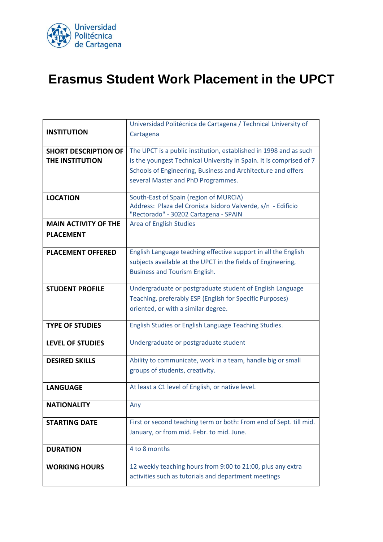

## **Erasmus Student Work Placement in the UPCT**

|                             | Universidad Politécnica de Cartagena / Technical University of      |
|-----------------------------|---------------------------------------------------------------------|
| <b>INSTITUTION</b>          | Cartagena                                                           |
|                             |                                                                     |
| <b>SHORT DESCRIPTION OF</b> | The UPCT is a public institution, established in 1998 and as such   |
| THE INSTITUTION             | is the youngest Technical University in Spain. It is comprised of 7 |
|                             | Schools of Engineering, Business and Architecture and offers        |
|                             | several Master and PhD Programmes.                                  |
| <b>LOCATION</b>             | South-East of Spain (region of MURCIA)                              |
|                             | Address: Plaza del Cronista Isidoro Valverde, s/n - Edificio        |
|                             | "Rectorado" - 30202 Cartagena - SPAIN                               |
| <b>MAIN ACTIVITY OF THE</b> | Area of English Studies                                             |
| <b>PLACEMENT</b>            |                                                                     |
|                             |                                                                     |
| <b>PLACEMENT OFFERED</b>    | English Language teaching effective support in all the English      |
|                             | subjects available at the UPCT in the fields of Engineering,        |
|                             | <b>Business and Tourism English.</b>                                |
| <b>STUDENT PROFILE</b>      | Undergraduate or postgraduate student of English Language           |
|                             | Teaching, preferably ESP (English for Specific Purposes)            |
|                             | oriented, or with a similar degree.                                 |
|                             |                                                                     |
| <b>TYPE OF STUDIES</b>      | English Studies or English Language Teaching Studies.               |
| <b>LEVEL OF STUDIES</b>     | Undergraduate or postgraduate student                               |
|                             |                                                                     |
| <b>DESIRED SKILLS</b>       | Ability to communicate, work in a team, handle big or small         |
|                             | groups of students, creativity.                                     |
| <b>LANGUAGE</b>             | At least a C1 level of English, or native level.                    |
|                             |                                                                     |
| <b>NATIONALITY</b>          | Any                                                                 |
| <b>STARTING DATE</b>        | First or second teaching term or both: From end of Sept. till mid.  |
|                             | January, or from mid. Febr. to mid. June.                           |
|                             |                                                                     |
| <b>DURATION</b>             | 4 to 8 months                                                       |
|                             |                                                                     |
| <b>WORKING HOURS</b>        | 12 weekly teaching hours from 9:00 to 21:00, plus any extra         |
|                             | activities such as tutorials and department meetings                |